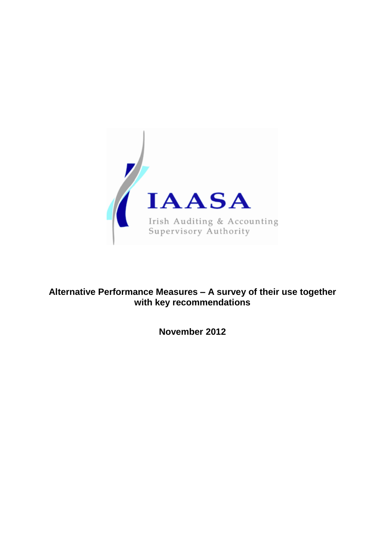

# **Alternative Performance Measures – A survey of their use together with key recommendations**

**November 2012**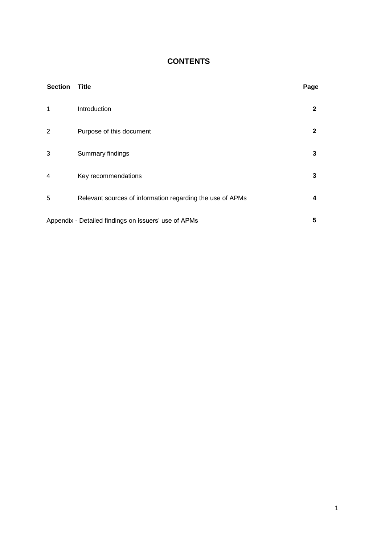## **CONTENTS**

| <b>Section</b> | <b>Title</b>                                              | Page         |
|----------------|-----------------------------------------------------------|--------------|
| 1              | Introduction                                              | $\mathbf{2}$ |
| 2              | Purpose of this document                                  | $\mathbf{2}$ |
| 3              | Summary findings                                          | 3            |
| 4              | Key recommendations                                       | 3            |
| 5              | Relevant sources of information regarding the use of APMs | 4            |
|                | Appendix - Detailed findings on issuers' use of APMs      | 5            |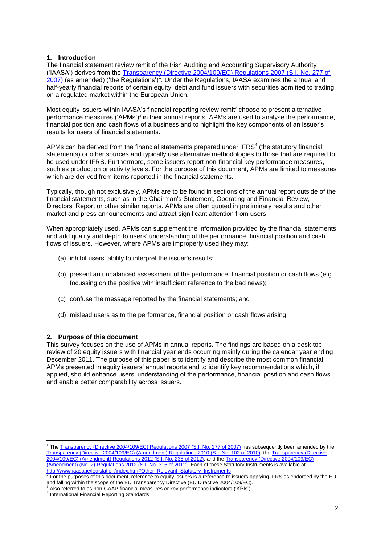## **1. Introduction**

The financial statement review remit of the Irish Auditing and Accounting Supervisory Authority ('IAASA') derives from the [Transparency \(Directive 2004/109/EC\) Regulations 2007 \(S.I. No. 277 of](http://www.iaasa.ie/legislation/si277_2007.htm)   $\frac{2007}{2007}$  (as amended) ('the Regulations')<sup>1</sup>. Under the Regulations, IAASA examines the annual and half-yearly financial reports of certain equity, debt and fund issuers with securities admitted to trading on a regulated market within the European Union.

Most equity issuers within IAASA's financial reporting review remit<sup>2</sup> choose to present alternative performance measures ('APMs')<sup>3</sup> in their annual reports. APMs are used to analyse the performance, financial position and cash flows of a business and to highlight the key components of an issuer's results for users of financial statements.

APMs can be derived from the financial statements prepared under IFRS $<sup>4</sup>$  (the statutory financial</sup> statements) or other sources and typically use alternative methodologies to those that are required to be used under IFRS. Furthermore, some issuers report non-financial key performance measures, such as production or activity levels. For the purpose of this document, APMs are limited to measures which are derived from items reported in the financial statements.

Typically, though not exclusively, APMs are to be found in sections of the annual report outside of the financial statements, such as in the Chairman's Statement, Operating and Financial Review, Directors' Report or other similar reports. APMs are often quoted in preliminary results and other market and press announcements and attract significant attention from users.

When appropriately used, APMs can supplement the information provided by the financial statements and add quality and depth to users' understanding of the performance, financial position and cash flows of issuers. However, where APMs are improperly used they may:

- (a) inhibit users' ability to interpret the issuer's results;
- (b) present an unbalanced assessment of the performance, financial position or cash flows (e.g. focussing on the positive with insufficient reference to the bad news);
- (c) confuse the message reported by the financial statements; and
- (d) mislead users as to the performance, financial position or cash flows arising.

## **2. Purpose of this document**

This survey focuses on the use of APMs in annual reports. The findings are based on a desk top review of 20 equity issuers with financial year ends occurring mainly during the calendar year ending December 2011. The purpose of this paper is to identify and describe the most common financial APMs presented in equity issuers' annual reports and to identify key recommendations which, if applied, should enhance users' understanding of the performance, financial position and cash flows and enable better comparability across issuers.

 1 The [Transparency \(Directive 2004/109/EC\) Regulations 2007 \(S.I. No. 277 of 2007\)](http://www.iaasa.eu/legislation/si277_2007.pdf) has subsequently been amended by the [Transparency \(Directive 2004/109/EC\) \(Amendment\) Regulations 2010 \(S.I. No. 102 of 2010\),](http://www.iaasa.ie/legislation/si102_2010.pdf) th[e Transparency \(Directive](http://www.iaasa.ie/legislation/si238_2012.pdf)  [2004/109/EC\) \(Amendment\) Regulations 2012 \(S.I. No. 238 of 2012\),](http://www.iaasa.ie/legislation/si238_2012.pdf) and th[e Transparency \(Directive](http://www.iaasa.ie/legislation/si316_2012.pdf) 2004/109/EC) [\(Amendment\) \(No. 2\) Regulations 2012 \(S.I. No. 316 of 2012\).](http://www.iaasa.ie/legislation/si316_2012.pdf) Each of these Statutory Instruments is available at <u>[http://www.iaasa.ie/legislation/index.htm#Other\\_Relevant\\_Statutory\\_Instruments](http://www.iaasa.ie/legislation/index.htm#Other_Relevant_Statutory_Instruments)</u><br><sup>2</sup> For the purposes of this document, reference to equity issuers is a reference to issuers applying IFRS as endorsed by the EU

and falling within the scope of the EU Transparency Directive (EU Directive 2004/109/EC).<br><sup>3</sup> Also referred to as non-GAAP financial measures or key performance indicators ('KPIs')

<sup>4</sup> International Financial Reporting Standards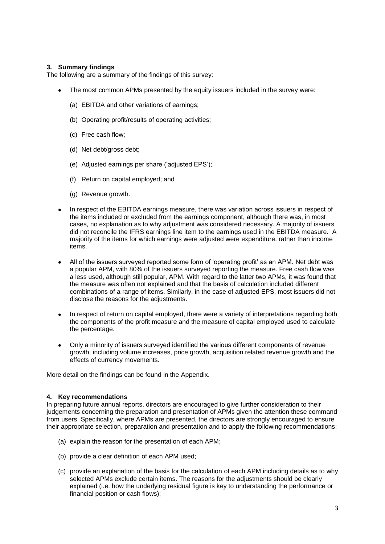## **3. Summary findings**

The following are a summary of the findings of this survey:

- The most common APMs presented by the equity issuers included in the survey were:  $\bullet$ 
	- (a) EBITDA and other variations of earnings;
	- (b) Operating profit/results of operating activities;
	- (c) Free cash flow;
	- (d) Net debt/gross debt;
	- (e) Adjusted earnings per share ('adjusted EPS');
	- (f) Return on capital employed; and
	- (g) Revenue growth.
- In respect of the EBITDA earnings measure, there was variation across issuers in respect of the items included or excluded from the earnings component, although there was, in most cases, no explanation as to why adjustment was considered necessary. A majority of issuers did not reconcile the IFRS earnings line item to the earnings used in the EBITDA measure. A majority of the items for which earnings were adjusted were expenditure, rather than income items.
- All of the issuers surveyed reported some form of 'operating profit' as an APM. Net debt was a popular APM, with 80% of the issuers surveyed reporting the measure. Free cash flow was a less used, although still popular, APM. With regard to the latter two APMs, it was found that the measure was often not explained and that the basis of calculation included different combinations of a range of items. Similarly, in the case of adjusted EPS, most issuers did not disclose the reasons for the adjustments.
- In respect of return on capital employed, there were a variety of interpretations regarding both  $\bullet$ the components of the profit measure and the measure of capital employed used to calculate the percentage.
- Only a minority of issuers surveyed identified the various different components of revenue  $\bullet$ growth, including volume increases, price growth, acquisition related revenue growth and the effects of currency movements.

More detail on the findings can be found in the Appendix.

## **4. Key recommendations**

In preparing future annual reports, directors are encouraged to give further consideration to their judgements concerning the preparation and presentation of APMs given the attention these command from users. Specifically, where APMs are presented, the directors are strongly encouraged to ensure their appropriate selection, preparation and presentation and to apply the following recommendations:

- (a) explain the reason for the presentation of each APM;
- (b) provide a clear definition of each APM used;
- (c) provide an explanation of the basis for the calculation of each APM including details as to why selected APMs exclude certain items. The reasons for the adjustments should be clearly explained (i.e. how the underlying residual figure is key to understanding the performance or financial position or cash flows);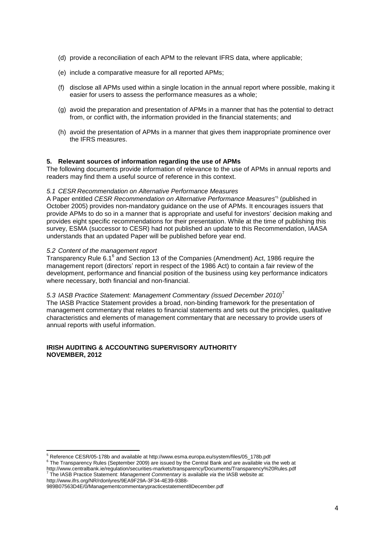- (d) provide a reconciliation of each APM to the relevant IFRS data, where applicable;
- (e) include a comparative measure for all reported APMs;
- (f) disclose all APMs used within a single location in the annual report where possible, making it easier for users to assess the performance measures as a whole;
- (g) avoid the preparation and presentation of APMs in a manner that has the potential to detract from, or conflict with, the information provided in the financial statements; and
- (h) avoid the presentation of APMs in a manner that gives them inappropriate prominence over the IFRS measures.

## **5. Relevant sources of information regarding the use of APMs**

The following documents provide information of relevance to the use of APMs in annual reports and readers may find them a useful source of reference in this context.

## *5.1 CESR Recommendation on Alternative Performance Measures*

A Paper entitled *CESR Recommendation on Alternative Performance Measures*' 5 (published in October 2005) provides non-mandatory guidance on the use of APMs. It encourages issuers that provide APMs to do so in a manner that is appropriate and useful for investors' decision making and provides eight specific recommendations for their presentation. While at the time of publishing this survey, ESMA (successor to CESR) had not published an update to this Recommendation, IAASA understands that an updated Paper will be published before year end.

## *5.2 Content of the management report*

Transparency Rule 6.1<sup>6</sup> and Section 13 of the Companies (Amendment) Act, 1986 require the management report (directors' report in respect of the 1986 Act) to contain a fair review of the development, performance and financial position of the business using key performance indicators where necessary, both financial and non-financial.

## *5.3 IASB Practice Statement: Management Commentary (issued December 2010)*<sup>7</sup>

The IASB Practice Statement provides a broad, non-binding framework for the presentation of management commentary that relates to financial statements and sets out the principles, qualitative characteristics and elements of management commentary that are necessary to provide users of annual reports with useful information.

## **IRISH AUDITING & ACCOUNTING SUPERVISORY AUTHORITY NOVEMBER, 2012**

 $\overline{a}$ 

 $^5$  Reference CESR/05-178b and available at http://www.esma.europa.eu/system/files/05\_178b.pdf

<sup>&</sup>lt;sup>6</sup> The Transparency Rules (September 2009) are issued by the Central Bank and are available via the web at http://www.centralbank.ie/regulation/securities-markets/transparency/Documents/Transparency%20Rules.pdf 7 The IASB Practice Statement: *Management Commentary* is available *via* the IASB website at: http://www.ifrs.org/NR/rdonlyres/9EA9F29A-3F34-4E39-9388-

<sup>989</sup>B07563D4E/0/Managementcommentarypracticestatement8December.pdf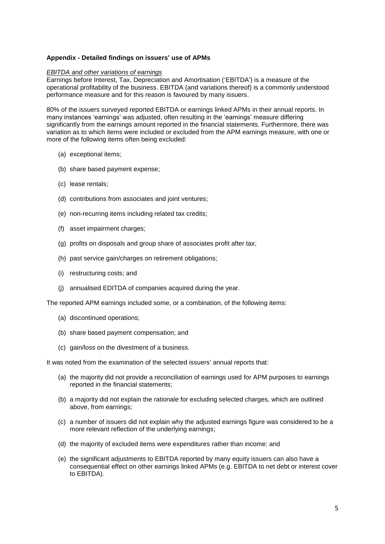## **Appendix - Detailed findings on issuers' use of APMs**

#### *EBITDA and other variations of earnings*

Earnings before Interest, Tax, Depreciation and Amortisation ('EBITDA') is a measure of the operational profitability of the business. EBITDA (and variations thereof) is a commonly understood performance measure and for this reason is favoured by many issuers.

80% of the issuers surveyed reported EBITDA or earnings linked APMs in their annual reports. In many instances 'earnings' was adjusted, often resulting in the 'earnings' measure differing significantly from the earnings amount reported in the financial statements. Furthermore, there was variation as to which items were included or excluded from the APM earnings measure, with one or more of the following items often being excluded:

- (a) exceptional items;
- (b) share based payment expense;
- (c) lease rentals;
- (d) contributions from associates and joint ventures;
- (e) non-recurring items including related tax credits;
- (f) asset impairment charges;
- (g) profits on disposals and group share of associates profit after tax;
- (h) past service gain/charges on retirement obligations;
- (i) restructuring costs; and
- (j) annualised EDITDA of companies acquired during the year.

The reported APM earnings included some, or a combination, of the following items:

- (a) discontinued operations;
- (b) share based payment compensation; and
- (c) gain/loss on the divestment of a business.

It was noted from the examination of the selected issuers' annual reports that:

- (a) the majority did not provide a reconciliation of earnings used for APM purposes to earnings reported in the financial statements;
- (b) a majority did not explain the rationale for excluding selected charges, which are outlined above, from earnings;
- (c) a number of issuers did not explain why the adjusted earnings figure was considered to be a more relevant reflection of the underlying earnings;
- (d) the majority of excluded items were expenditures rather than income; and
- (e) the significant adjustments to EBITDA reported by many equity issuers can also have a consequential effect on other earnings linked APMs (e.g. EBITDA to net debt or interest cover to EBITDA).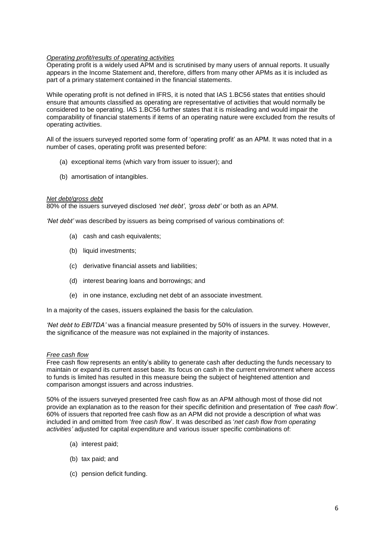## *Operating profit/results of operating activities*

Operating profit is a widely used APM and is scrutinised by many users of annual reports. It usually appears in the Income Statement and, therefore, differs from many other APMs as it is included as part of a primary statement contained in the financial statements.

While operating profit is not defined in IFRS, it is noted that IAS 1.BC56 states that entities should ensure that amounts classified as operating are representative of activities that would normally be considered to be operating. IAS 1.BC56 further states that it is misleading and would impair the comparability of financial statements if items of an operating nature were excluded from the results of operating activities.

All of the issuers surveyed reported some form of 'operating profit' as an APM. It was noted that in a number of cases, operating profit was presented before:

- (a) exceptional items (which vary from issuer to issuer); and
- (b) amortisation of intangibles.

#### *Net debt/gross debt*

80% of the issuers surveyed disclosed *'net debt'*, *'gross debt'* or both as an APM.

*'Net debt'* was described by issuers as being comprised of various combinations of:

- (a) cash and cash equivalents;
- (b) liquid investments;
- (c) derivative financial assets and liabilities;
- (d) interest bearing loans and borrowings; and
- (e) in one instance, excluding net debt of an associate investment.

In a majority of the cases, issuers explained the basis for the calculation.

*'Net debt to EBITDA'* was a financial measure presented by 50% of issuers in the survey. However, the significance of the measure was not explained in the majority of instances.

## *Free cash flow*

Free cash flow represents an entity's ability to generate cash after deducting the funds necessary to maintain or expand its current asset base. Its focus on cash in the current environment where access to funds is limited has resulted in this measure being the subject of heightened attention and comparison amongst issuers and across industries.

50% of the issuers surveyed presented free cash flow as an APM although most of those did not provide an explanation as to the reason for their specific definition and presentation of *'free cash flow'*. 60% of issuers that reported free cash flow as an APM did not provide a description of what was included in and omitted from '*free cash flow*'. It was described as '*net cash flow from operating activities'* adjusted for capital expenditure and various issuer specific combinations of:

- (a) interest paid;
- (b) tax paid; and
- (c) pension deficit funding.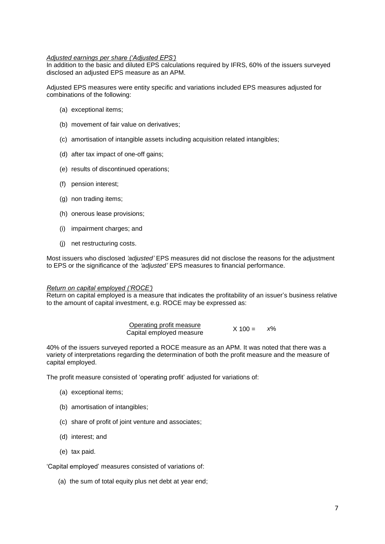## *Adjusted earnings per share ('Adjusted EPS')*

In addition to the basic and diluted EPS calculations required by IFRS, 60% of the issuers surveyed disclosed an adjusted EPS measure as an APM.

Adjusted EPS measures were entity specific and variations included EPS measures adjusted for combinations of the following:

- (a) exceptional items;
- (b) movement of fair value on derivatives;
- (c) amortisation of intangible assets including acquisition related intangibles;
- (d) after tax impact of one-off gains;
- (e) results of discontinued operations;
- (f) pension interest;
- (g) non trading items;
- (h) onerous lease provisions;
- (i) impairment charges; and
- (j) net restructuring costs.

Most issuers who disclosed *'adjusted'* EPS measures did not disclose the reasons for the adjustment to EPS or the significance of the *'adjusted'* EPS measures to financial performance.

#### *Return on capital employed ('ROCE')*

Return on capital employed is a measure that indicates the profitability of an issuer's business relative to the amount of capital investment, e.g. ROCE may be expressed as:

| Operating profit measure |             | $x\%$ |
|--------------------------|-------------|-------|
| Capital employed measure | $X = 100 =$ |       |

40% of the issuers surveyed reported a ROCE measure as an APM. It was noted that there was a variety of interpretations regarding the determination of both the profit measure and the measure of capital employed.

The profit measure consisted of 'operating profit' adjusted for variations of:

- (a) exceptional items;
- (b) amortisation of intangibles;
- (c) share of profit of joint venture and associates;
- (d) interest; and
- (e) tax paid.

'Capital employed' measures consisted of variations of:

(a) the sum of total equity plus net debt at year end;